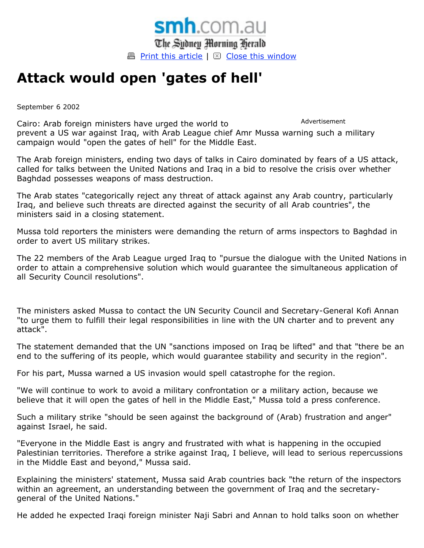

## **Attack would open 'gates of hell'**

September 6 2002

Advertisement Cairo: Arab foreign ministers have urged the world to prevent a US war against Iraq, with Arab League chief Amr Mussa warning such a military campaign would "open the gates of hell" for the Middle East.

The Arab foreign ministers, ending two days of talks in Cairo dominated by fears of a US attack, called for talks between the United Nations and Iraq in a bid to resolve the crisis over whether Baghdad possesses weapons of mass destruction.

The Arab states "categorically reject any threat of attack against any Arab country, particularly Iraq, and believe such threats are directed against the security of all Arab countries", the ministers said in a closing statement.

Mussa told reporters the ministers were demanding the return of arms inspectors to Baghdad in order to avert US military strikes.

The 22 members of the Arab League urged Iraq to "pursue the dialogue with the United Nations in order to attain a comprehensive solution which would guarantee the simultaneous application of all Security Council resolutions".

The ministers asked Mussa to contact the UN Security Council and Secretary-General Kofi Annan "to urge them to fulfill their legal responsibilities in line with the UN charter and to prevent any attack".

The statement demanded that the UN "sanctions imposed on Iraq be lifted" and that "there be an end to the suffering of its people, which would guarantee stability and security in the region".

For his part, Mussa warned a US invasion would spell catastrophe for the region.

"We will continue to work to avoid a military confrontation or a military action, because we believe that it will open the gates of hell in the Middle East," Mussa told a press conference.

Such a military strike "should be seen against the background of (Arab) frustration and anger" against Israel, he said.

"Everyone in the Middle East is angry and frustrated with what is happening in the occupied Palestinian territories. Therefore a strike against Iraq, I believe, will lead to serious repercussions in the Middle East and beyond," Mussa said.

Explaining the ministers' statement, Mussa said Arab countries back "the return of the inspectors within an agreement, an understanding between the government of Iraq and the secretarygeneral of the United Nations."

He added he expected Iraqi foreign minister Naji Sabri and Annan to hold talks soon on whether